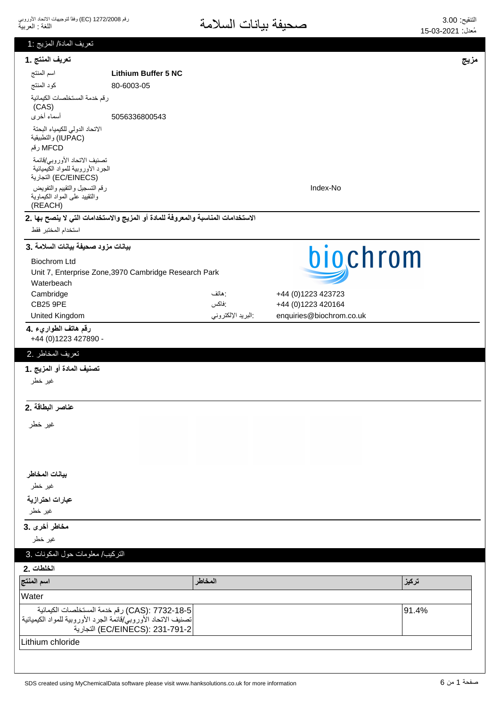| تعريف المادة/ المزيج :1                                                                   |                                                                                   |                   |                          |       |
|-------------------------------------------------------------------------------------------|-----------------------------------------------------------------------------------|-------------------|--------------------------|-------|
| تعريف المنتج .1                                                                           |                                                                                   |                   |                          | مزيج  |
| اسم المنتج                                                                                | <b>Lithium Buffer 5 NC</b>                                                        |                   |                          |       |
| كود المنتج                                                                                | 80-6003-05                                                                        |                   |                          |       |
| رقم خدمة المستخلصات الكيمائية<br>(CAS)                                                    |                                                                                   |                   |                          |       |
| أسماء أخرى                                                                                | 5056336800543                                                                     |                   |                          |       |
| الاتحاد الدولى للكيمياء البحتة<br>(IUPAC) والتطبيقية                                      |                                                                                   |                   |                          |       |
| MFCD رقم                                                                                  |                                                                                   |                   |                          |       |
| تصنيف الاتحاد الأوروبي/قائمة<br>الجرد الأوروبية للمواد الكيميائية<br>(EC/EINECS) التجارية |                                                                                   |                   |                          |       |
| رقم التسجيل والتقييم والتفويض<br>والنقييد على المواد الكيماوية<br>(REACH)                 |                                                                                   |                   | Index-No                 |       |
|                                                                                           | الاستخدامات المناسبة والمعروفة للمادة أو المزيج والاستخدامات التي لا ينصح بها .2  |                   |                          |       |
| استخدام المختبر فقط                                                                       |                                                                                   |                   |                          |       |
| بيانات مزود صحيفة بيانات السلامة .3                                                       |                                                                                   |                   | biochrom                 |       |
| <b>Biochrom Ltd</b>                                                                       |                                                                                   |                   |                          |       |
|                                                                                           | Unit 7, Enterprise Zone, 3970 Cambridge Research Park                             |                   |                          |       |
| Waterbeach<br>Cambridge                                                                   |                                                                                   | : هاتف            | +44 (0)1223 423723       |       |
| <b>CB25 9PE</b>                                                                           |                                                                                   | :فاكس             | +44 (0)1223 420164       |       |
| United Kingdom                                                                            |                                                                                   | البريد الإلكتروني | enquiries@biochrom.co.uk |       |
| رقم هاتف الطواريء .4<br>+44 (0) 1223 427890 -                                             |                                                                                   |                   |                          |       |
| تعريف المخاطر .2                                                                          |                                                                                   |                   |                          |       |
|                                                                                           |                                                                                   |                   |                          |       |
| تصنيف المادة أو المزيج .1<br>غير خطر                                                      |                                                                                   |                   |                          |       |
|                                                                                           |                                                                                   |                   |                          |       |
| عناصر البطاقة .2                                                                          |                                                                                   |                   |                          |       |
| غير خطر                                                                                   |                                                                                   |                   |                          |       |
|                                                                                           |                                                                                   |                   |                          |       |
|                                                                                           |                                                                                   |                   |                          |       |
| بيانات المخاطر                                                                            |                                                                                   |                   |                          |       |
| غير خطر                                                                                   |                                                                                   |                   |                          |       |
| عبارات احترازية                                                                           |                                                                                   |                   |                          |       |
| غير خطر                                                                                   |                                                                                   |                   |                          |       |
| مخاطر أخرى .3                                                                             |                                                                                   |                   |                          |       |
| غير خطر                                                                                   |                                                                                   |                   |                          |       |
| التركيب/ معلومات حول المكونات .3                                                          |                                                                                   |                   |                          |       |
| الخلطات .2                                                                                |                                                                                   |                   |                          |       |
| اسم المنتج                                                                                |                                                                                   | المخاطر           |                          | تركيز |
| Water                                                                                     |                                                                                   |                   |                          |       |
|                                                                                           |                                                                                   |                   |                          |       |
| تصنيف الاتحاد الأوروبي/قائمة الجرد الأوروبية للمواد الكيميائية                            | CAS): 7732-18-5) رقم خدمة المستخلصات الكيمائية<br>EC/EINECS): 231-791-2) التجارية |                   |                          | 91.4% |
| Lithium chloride                                                                          |                                                                                   |                   |                          |       |
|                                                                                           |                                                                                   |                   |                          |       |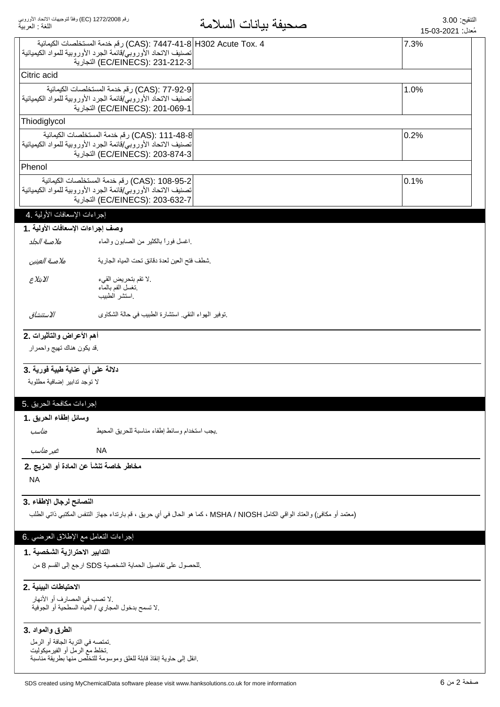|                                      |                                                                                                                                    | معدل: 15-03-2021 |
|--------------------------------------|------------------------------------------------------------------------------------------------------------------------------------|------------------|
|                                      | 4 .CAS): 7447-41-8 H302 Acute Tox) رقم خدمة المستخلصات الكيمائية<br>تصنيف الاتحاد الأوروبي/قائمة الجرد الأوروبية للمواد الكيميائية | 7.3%             |
|                                      | EC/EINECS): 231-212-3) التجارية                                                                                                    |                  |
| Citric acid                          |                                                                                                                                    |                  |
|                                      | CAS): 77-92-9) رقم خدمة المستخلصات الكيمائية                                                                                       | 1.0%             |
|                                      | تصنيف الاتحاد الأوروبي/قائمة الجرد الأوروبية للمواد الكيميائية<br>EC/EINECS): 201-069-1) التجارية                                  |                  |
| Thiodiglycol                         |                                                                                                                                    |                  |
|                                      | CAS): 111-48-8) رقم خدمة المستخلصات الكيمائية                                                                                      | 0.2%             |
|                                      | تصنيف الاتحاد الأوروبي/قائمة الجرد الأوروبية للمواد الكيميائية<br>EC/EINECS): 203-874-3) التجارية                                  |                  |
| Phenol                               |                                                                                                                                    |                  |
|                                      | CAS): 108-95-2) رقم خدمة المستخلصات الكيمائية                                                                                      | 0.1%             |
|                                      | تصنيف الاتحاد الأوروبي/قائمة الجرد الأوروبية للمواد الكيميائية<br>EC/EINECS): 203-632-7) التجارية                                  |                  |
| إجراءات الإسعافات الأولية .4         |                                                                                                                                    |                  |
| وصف إجراءات الإسعافات الأولية .1     |                                                                                                                                    |                  |
| ملامسة الحلد                         | اغسل فورأ بالكثير من الصابون والماء                                                                                                |                  |
| ملامسة العينين                       | شطف فتح العين لعدة دقائق تحت المياه الجارية                                                                                        |                  |
| الابتلاع                             | .لا تقم بتحريض القيء                                                                                                               |                  |
|                                      | نغسل الفم بالماء                                                                                                                   |                  |
|                                      | استشر الطبيب                                                                                                                       |                  |
| الاستنشاق                            | نوفير الهواء النقى استشارة الطبيب في حالة الشكاوى                                                                                  |                  |
| أهم الأعراض والتأثيرات .2            |                                                                                                                                    |                  |
| فد يكون هناك تهيج واحمرار            |                                                                                                                                    |                  |
|                                      |                                                                                                                                    |                  |
| دلالة على أي عناية طبية فورية .3     |                                                                                                                                    |                  |
| لا توجد تدابير إضافية مطلوبة         |                                                                                                                                    |                  |
| إجراءات مكافحة الحريق .5             |                                                                                                                                    |                  |
| وسائل إطفاء الحريق .1                |                                                                                                                                    |                  |
| مناسب                                | يجب استخدام وسائط إطفاء مناسبة للحريق المحيط                                                                                       |                  |
| غير مناسب                            | <b>NA</b>                                                                                                                          |                  |
|                                      | مخاطر خاصة تنشأ عن المادة أو المزيج .2                                                                                             |                  |
| <b>NA</b>                            |                                                                                                                                    |                  |
| النصائح لرجال الإطفاء .3             |                                                                                                                                    |                  |
|                                      | (معتمد أو مكافئ) والعتاد الواقي الكامل MSHA / NIOSH ، كما هو الحال في أي حريق ، قم بارتداء جهاز التنفس المكتبي ذاتي الطلب          |                  |
|                                      |                                                                                                                                    |                  |
| إجراءات التعامل مع الإطلاق العرضي .6 |                                                                                                                                    |                  |
| التدابير الاحترازية الشخصية .1       |                                                                                                                                    |                  |
|                                      | للحصول على تفاصيل الحماية الشخصية SDS ارجع إلى القسم 8 من                                                                          |                  |
| الاحتياطات البينية .2                |                                                                                                                                    |                  |
| .لا نصب في المصارف أو الأنهار        |                                                                                                                                    |                  |
|                                      | .لا تسمح بدخول المجاري / المياه السطحية أو الجوفية                                                                                 |                  |
| الطرق والمواد .3                     |                                                                                                                                    |                  |
| تمتصه في التربة الجافة أو الرمل      |                                                                                                                                    |                  |
| نخلط مع الرمل أو الفيرميكوليت        | إنقل إلى حاوية إنقاذ قابلة للغلق وموسومة للتخلص منها بطريقة مناسبة                                                                 |                  |
|                                      |                                                                                                                                    |                  |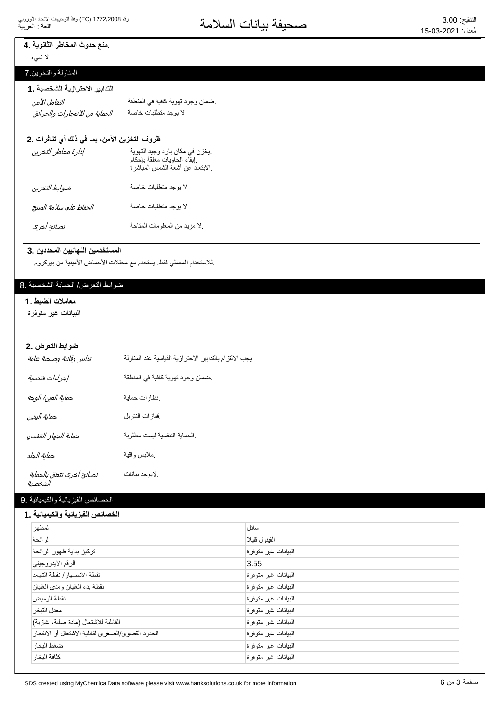# ـ منع حدوث المخاطر الثانوية ـ **4**

لا شيء

# المناولة والنخزين 7

### التدابير الاحترازية الشخصية .1

͙̜̺͙ͯͅ͵̵͙̼͙ͣ̓͆̚͜ͳ̻̻̜̺͙͂̀̓ ΔλΎΧΕΎΑϠρΗϣΩΟϭϳϻ التعامل الآمن

ضمان وجود تهوية كافية في المنطقة.

### ظروف التخزين الآمن، بما في ذلك أي تنافرات .2

| إدارة مخاطر التخزين     | يخزن في مكان بارد وجيد التهوية<br>إبقاء الحاويات مغلقة بإحكام<br>الابتعاد عن أشعة الشمس المباشرة. |
|-------------------------|---------------------------------------------------------------------------------------------------|
| ضوابط التخزين           | لا بوجد متطلبات خاصة                                                                              |
| الحفاظ على سلامة المنتج | لا بوجد متطلبات خاصة                                                                              |
| نصائح أخرى              | لا مزيد من المعلومات المتاحة                                                                      |

#### المستخدمين النهائيين المحددين .3

إللاستخدام المعملي فقط. يستخدم مع محللات الأحماض الأمينية من بيوكروم.

# ضوابط التعرض/ الحماية الشخصية .8

#### معاملات الضبط .1

البيانات غير متوفرة

#### **ضوابط التعرض .2**

| تدابير وقائية وصحية عامة             | بجب الالتزام بالتدابير الاحترازية القياسية عند المناولة |
|--------------------------------------|---------------------------------------------------------|
| إجراءات هندسية                       | ضمان وجود تهوية كافية في المنطقة                        |
| حماية العين/ الوجه                   | نظارات حماية                                            |
| حماية اليدين                         | ففازات النتريل                                          |
| حماية الجهاز التنفسي                 | الحماية التنفسية ليست مطلوبة                            |
| حماية الجلد                          | مملابس واقية                                            |
| نصائح أخرى تتعلق بالحماية<br>الشخصية | . لايو جد بيانات                                        |

# الخصائص الفيزيائية والكيميائية 9.

#### الخصائص الفيزيائية والكيميائية **.** 1

| المظهر                                            | سائل                |
|---------------------------------------------------|---------------------|
| الر ائحة                                          | الفينول قليلا       |
| تركيز بداية ظهور الرائحة                          | البيانات غير متوفرة |
| الرقم الايدر وجيني                                | 3.55                |
| نقطة الانصهار / نقطة التجمد                       | البيانات غير متوفرة |
| نقطة بدء الغليان ومدى الغليان                     | البيانات غير متوفرة |
| نقطة الو مبض                                      | البيانات غير متوفرة |
| معدل التبخر                                       | البيانات غير متوفرة |
| القابلية للاشتعال (مادة صلبة، غازية)              | البيانات غير متوفرة |
| الحدود القصوى/الصغرى لقابلية الاشتعال أو الانفجار | البيانات غير متوفرة |
| ضغط البخار                                        | البيانات غير متوفرة |
| كثافة البخار                                      | البيانات غير متوفرة |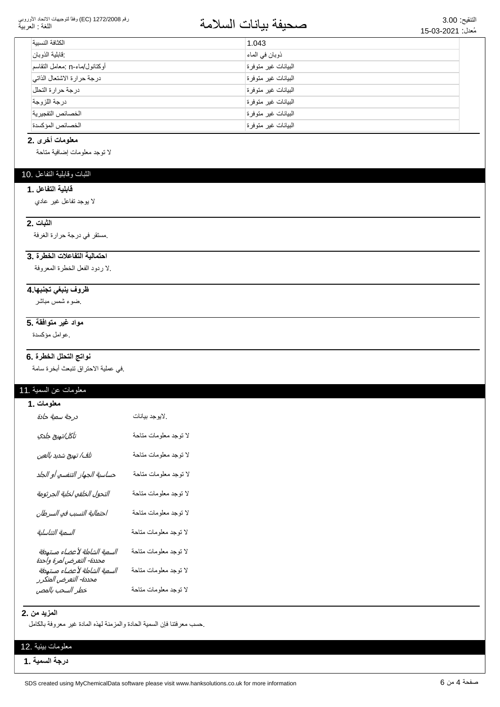#### رقم 1272/2008 (EC) وفقاً لتوجيهات الاتحاد الأوروبي اللغة : العربية

# التنقيع: 3.00<br>مُعدان 15,03-2021

| الكثافة النسسة                | 1.043               |
|-------------------------------|---------------------|
| :قابلية الذوبان               | ذوبان في الماء      |
| أوكتانول/ماء-n :معامل التقاسم | البيانات غير متوفرة |
| درجة حرارة الاشتعال الذاتي    | البيانات غير متوفرة |
| درجة حرارة التحلل             | البيانات غير متوفرة |
| درجة اللزوجة                  | البيانات غير متوفرة |
| الخصائص التفجير ية            | البيانات غير متوفرة |
| الخصائص المؤكسدة              | البيانات غير متوفرة |

#### معلومات أخرى .2

لا نوجد معلومات إضافية متاحة

### الثبات وقابلية التفاعل .10

#### قابلية التفاعل .1

لا بوجد تفاعل غير عادي

#### **الثبات .2**

مستقر في درجة حرارة الغرفة.

### احتمالية التفاعلات الخطرة.3

لا ردود الفعل الخطرة المعروفة.

#### <mark>ظروف ينبغي تجنبها 4</mark>

ضوء شمس مباشر

### <mark>مواد غير متوافقة .5</mark>

ِ عوامل مؤكسدة.

### نواتج التحلل الخطرة .6

في عملية الاحتراق تتبعث أبخرة سامة.

### معلومات عن السمية .11

| معلومات .1                                                |                       |
|-----------------------------------------------------------|-----------------------|
| درجة سم <i>ية حادة</i>                                    | لايوجد بيانات         |
| تآكل/تهيج جلدي                                            | لا توجد معلومات متاحة |
| تلف/ تهيج شديد بالعين                                     | لا توجد معلومات متاحة |
| حساسية الجهاز التنفسي أو الجلد                            | لا توجد معلومات متاحة |
| التحول الخلقي لخلية الجرثومة                              | لا توجد معلومات متاحة |
| احتمالية التسبب في السرطان                                | لا توجد معلومات متاحة |
| السمية التناسلية                                          | لا توجد معلومات متاحة |
| السمية الشاملة لأعضاء مستهدفة<br>محددة- التعرض لمرة واحدة | لا توجد معلومات متاحة |
| السمية الشاملة لأعضاء مستهدفة<br>محددة- التعرض المتكرر    | لا توجد معلومات متاحة |
| خطر السحب بالمص                                           | لا نوجد معلومات مناحة |

#### **المزيد من .2**

حسب معرفتنا فإن السمية الحادة والمزمنة لهذه المادة غير معروفة بالكامل

### معلومات بيئية .12

**درجة السمية .1**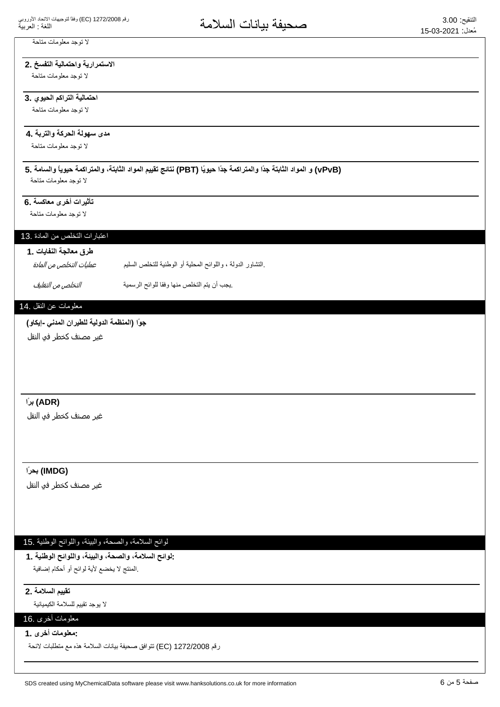### لا توجد معلومات متاحة

# الاستمرارية واحتمالية التفسخ .2

لا توجد معلومات متاحة

### احتمالية التراكم الحيوي .3

لا توجد معلومات متاحة

### مدى سهولة الحركة والتربة .**4**

لا توجد معلومات متاحة

# **5. ΔϣΎγϟϭ˱ΎϳϭϳΣΔϣϛέΗϣϟϭˬΔΗΑΎΛϟΩϭϣϟϡϳϳϘΗΞΎΗϧ (PBT) Ύ˱ϳϭϳΣ˱ΩΟΔϣϛέΗϣϟϭ˱ΩΟΔΗΑΎΛϟΩϭϣϟϭ (vPvB)**

لا توجد معلومات متاحة

### تأثيرات أخرى معاكسة .6

لا توجد معلومات متاحة

### اعتبارات التخلص من المادة .13

### طرق معالجة النفايات .1

بالتشاور الدولة ، واللوائح المحلية أو الوطنية للتخلص السليم. عمليات التخلص من المادة

ِيجِبِ أن يتم التخلص منها وفقا للوائح الرسمية مستقدم التخلص م*ن التغليف*.

### معلومات عن النقل .14

### جوًا (المنظمة الدولية للطيران المدن*ى* -إيكاو)

غیر مصنف کخطر فو النقل

### **˱έΑ (ADR)**

غير مصنف كخطر في النقل

### **˱έΣΑ (IMDG)**

غیر مصنف کخطر فی النقل

# لوائح السلامة، والصحة، والبيئة، واللوائح الوطنية .15

**1. ΔϳϧρϭϟϭϠϟϭˬΔϳΑϟϭˬΔΣλϟϭˬΔϣϼγϟϭϟ:** المنتج لا يخضع لأية لوائح أو أحكام إضافية.

#### **تقييم السلامة .2**

لا بو جد تقييم للسلامة الكيميائية

# معلومات أخرى .16 **1. ϯέΧΕΎϣϭϠόϣ:**

رقم 1272/2008 EC) تتوافق صحيفة بيانات السلامة هذه مع متطلبات لائحة